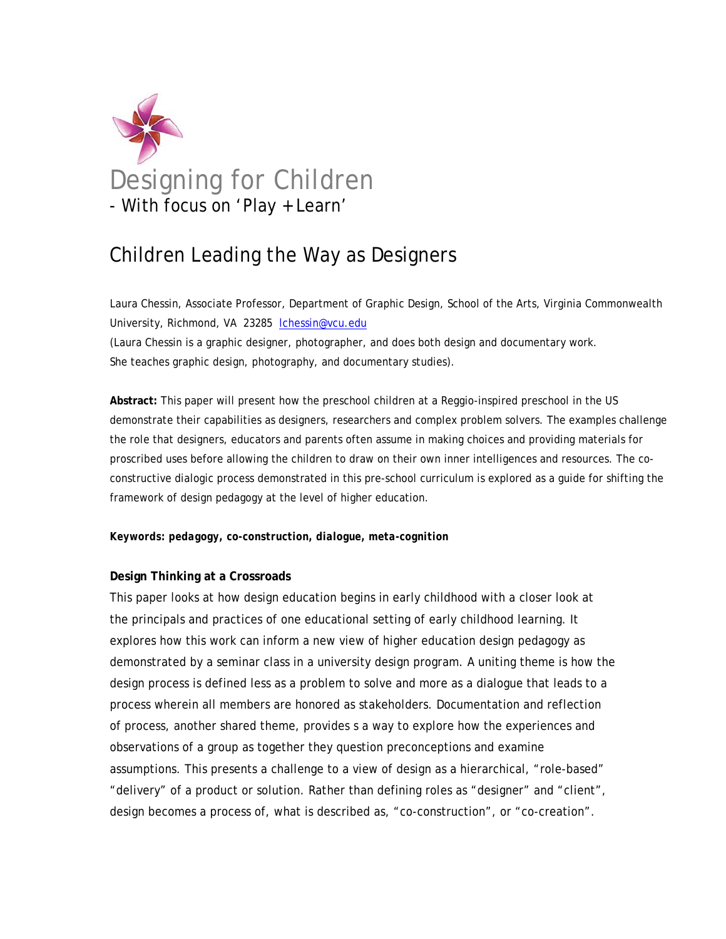

# Children Leading the Way as Designers

Laura Chessin, Associate Professor, Department of Graphic Design, School of the Arts, Virginia Commonwealth University, Richmond, VA 23285 lchessin@vcu.edu (Laura Chessin is a graphic designer, photographer, and does both design and documentary work.

She teaches graphic design, photography, and documentary studies).

**Abstract:** This paper will present how the preschool children at a Reggio-inspired preschool in the US demonstrate their capabilities as designers, researchers and complex problem solvers. The examples challenge the role that designers, educators and parents often assume in making choices and providing materials for proscribed uses before allowing the children to draw on their own inner intelligences and resources. The coconstructive dialogic process demonstrated in this pre-school curriculum is explored as a guide for shifting the framework of design pedagogy at the level of higher education.

# *Keywords: pedagogy, co-construction, dialogue, meta-cognition*

# **Design Thinking at a Crossroads**

This paper looks at how design education begins in early childhood with a closer look at the principals and practices of one educational setting of early childhood learning. It explores how this work can inform a new view of higher education design pedagogy as demonstrated by a seminar class in a university design program. A uniting theme is how the design process is defined less as a problem to solve and more as a dialogue that leads to a process wherein all members are honored as stakeholders. Documentation and reflection of process, another shared theme, provides s a way to explore how the experiences and observations of a group as together they question preconceptions and examine assumptions. This presents a challenge to a view of design as a hierarchical, "role-based" "delivery" of a product or solution. Rather than defining roles as "designer" and "client", design becomes a process of, what is described as, "co-construction", or "co-creation".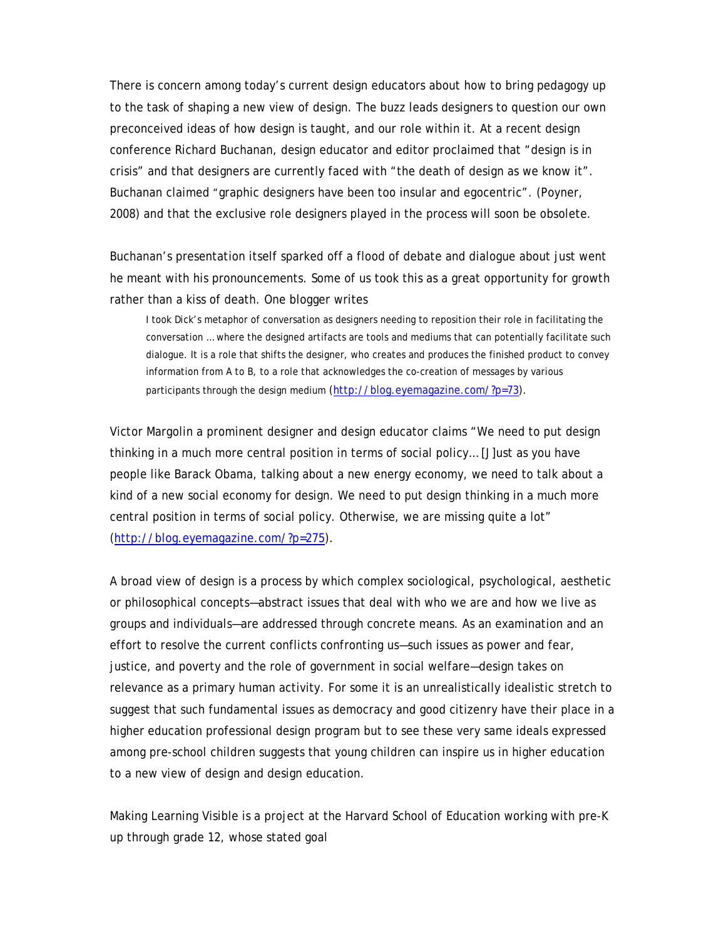There is concern among today's current design educators about how to bring pedagogy up to the task of shaping a new view of design. The buzz leads designers to question our own preconceived ideas of how design is taught, and our role within it. At a recent design conference Richard Buchanan, design educator and editor proclaimed that "design is in crisis" and that designers are currently faced with "the death of design as we know it". Buchanan claimed "graphic designers have been too insular and egocentric". (Poyner, 2008) and that the exclusive role designers played in the process will soon be obsolete.

Buchanan's presentation itself sparked off a flood of debate and dialogue about just went he meant with his pronouncements. Some of us took this as a great opportunity for growth rather than a kiss of death. One blogger writes

I took Dick's metaphor of conversation as designers needing to reposition their role in facilitating the conversation … where the designed artifacts are tools and mediums that can potentially facilitate such dialogue. It is a role that shifts the designer, who creates and produces the finished product to convey information from A to B, to a role that acknowledges the co-creation of messages by various participants through the design medium (http://blog.eyemagazine.com/?p=73).

Victor Margolin a prominent designer and design educator claims "We need to put design thinking in a much more central position in terms of social policy… [J]ust as you have people like Barack Obama, talking about a new energy economy, we need to talk about a kind of a new social economy for design. We need to put design thinking in a much more central position in terms of social policy. Otherwise, we are missing quite a lot" (http://blog.eyemagazine.com/?p=275).

A broad view of design is a process by which complex sociological, psychological, aesthetic or philosophical concepts—abstract issues that deal with who we are and how we live as groups and individuals—are addressed through concrete means. As an examination and an effort to resolve the current conflicts confronting us—such issues as power and fear, justice, and poverty and the role of government in social welfare—design takes on relevance as a primary human activity. For some it is an unrealistically idealistic stretch to suggest that such fundamental issues as democracy and good citizenry have their place in a higher education professional design program but to see these very same ideals expressed among pre-school children suggests that young children can inspire us in higher education to a new view of design and design education.

Making Learning Visible is a project at the Harvard School of Education working with pre-K up through grade 12, whose stated goal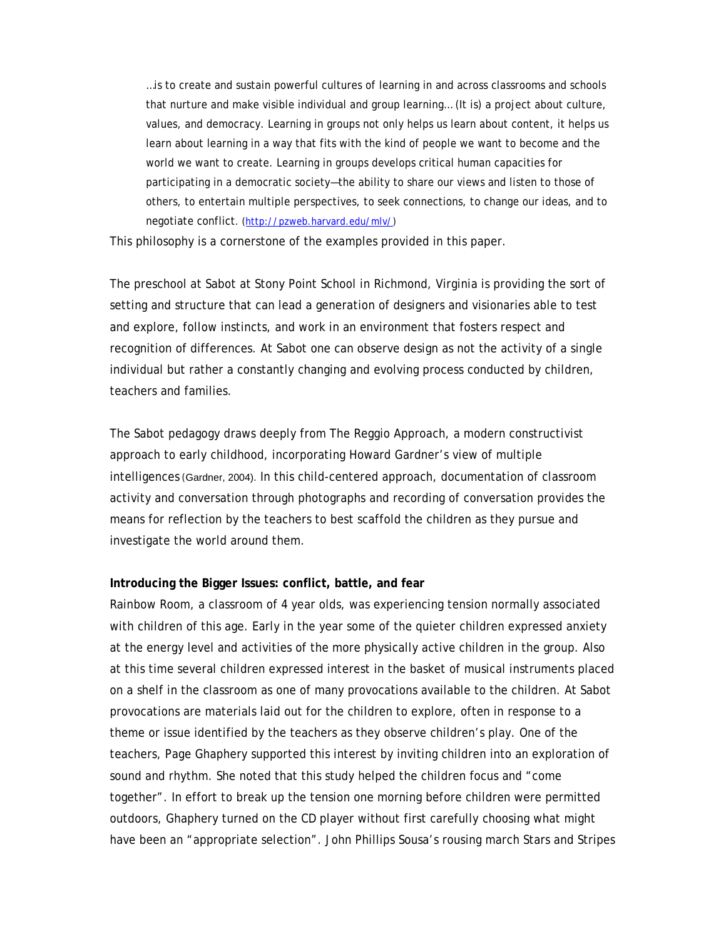…is to create and sustain powerful cultures of learning in and across classrooms and schools that nurture and make visible individual and group learning… (It is) a project about culture, values, and democracy. Learning in groups not only helps us learn about content, it helps us learn about learning in a way that fits with the kind of people we want to become and the world we want to create. Learning in groups develops critical human capacities for participating in a democratic society—the ability to share our views and listen to those of others, to entertain multiple perspectives, to seek connections, to change our ideas, and to negotiate conflict. (http://pzweb.harvard.edu/mlv/)

This philosophy is a cornerstone of the examples provided in this paper.

The preschool at Sabot at Stony Point School in Richmond, Virginia is providing the sort of setting and structure that can lead a generation of designers and visionaries able to test and explore, follow instincts, and work in an environment that fosters respect and recognition of differences. At Sabot one can observe design as not the activity of a single individual but rather a constantly changing and evolving process conducted by children, teachers and families.

The Sabot pedagogy draws deeply from The Reggio Approach, a modern constructivist approach to early childhood, incorporating Howard Gardner's view of multiple intelligences (Gardner, 2004). In this child-centered approach, documentation of classroom activity and conversation through photographs and recording of conversation provides the means for reflection by the teachers to best scaffold the children as they pursue and investigate the world around them.

#### **Introducing the Bigger Issues: conflict, battle, and fear**

Rainbow Room, a classroom of 4 year olds, was experiencing tension normally associated with children of this age. Early in the year some of the quieter children expressed anxiety at the energy level and activities of the more physically active children in the group. Also at this time several children expressed interest in the basket of musical instruments placed on a shelf in the classroom as one of many provocations available to the children. At Sabot provocations are materials laid out for the children to explore, often in response to a theme or issue identified by the teachers as they observe children's play. One of the teachers, Page Ghaphery supported this interest by inviting children into an exploration of sound and rhythm. She noted that this study helped the children focus and "come together". In effort to break up the tension one morning before children were permitted outdoors, Ghaphery turned on the CD player without first carefully choosing what might have been an "appropriate selection". John Phillips Sousa's rousing march Stars and Stripes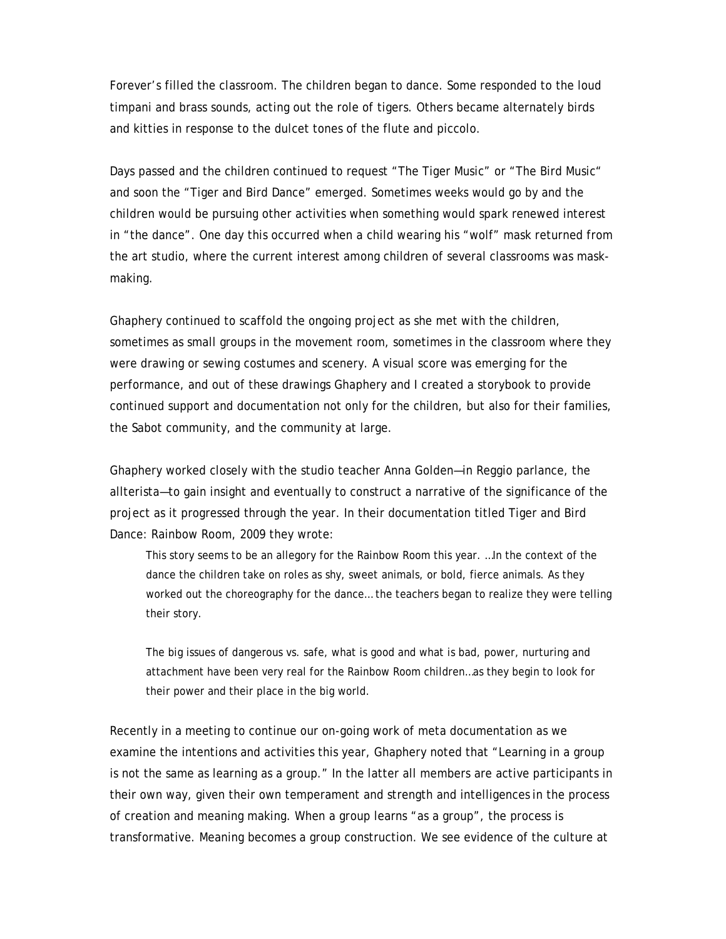Forever's filled the classroom. The children began to dance. Some responded to the loud timpani and brass sounds, acting out the role of tigers. Others became alternately birds and kitties in response to the dulcet tones of the flute and piccolo.

Days passed and the children continued to request "The Tiger Music" or "The Bird Music" and soon the "Tiger and Bird Dance" emerged. Sometimes weeks would go by and the children would be pursuing other activities when something would spark renewed interest in "the dance". One day this occurred when a child wearing his "wolf" mask returned from the art studio, where the current interest among children of several classrooms was maskmaking.

Ghaphery continued to scaffold the ongoing project as she met with the children, sometimes as small groups in the movement room, sometimes in the classroom where they were drawing or sewing costumes and scenery. A visual score was emerging for the performance, and out of these drawings Ghaphery and I created a storybook to provide continued support and documentation not only for the children, but also for their families, the Sabot community, and the community at large.

Ghaphery worked closely with the studio teacher Anna Golden—in Reggio parlance, the allterista—to gain insight and eventually to construct a narrative of the significance of the project as it progressed through the year. In their documentation titled Tiger and Bird Dance: Rainbow Room, 2009 they wrote:

This story seems to be an allegory for the Rainbow Room this year. …In the context of the dance the children take on roles as shy, sweet animals, or bold, fierce animals. As they worked out the choreography for the dance… the teachers began to realize they were telling their story.

The big issues of dangerous vs. safe, what is good and what is bad, power, nurturing and attachment have been very real for the Rainbow Room children…as they begin to look for their power and their place in the big world.

Recently in a meeting to continue our on-going work of meta documentation as we examine the intentions and activities this year, Ghaphery noted that "Learning in a group is not the same as learning as a group." In the latter all members are active participants in their own way, given their own temperament and strength and intelligences in the process of creation and meaning making. When a group learns "as a group", the process is transformative. Meaning becomes a group construction. We see evidence of the culture at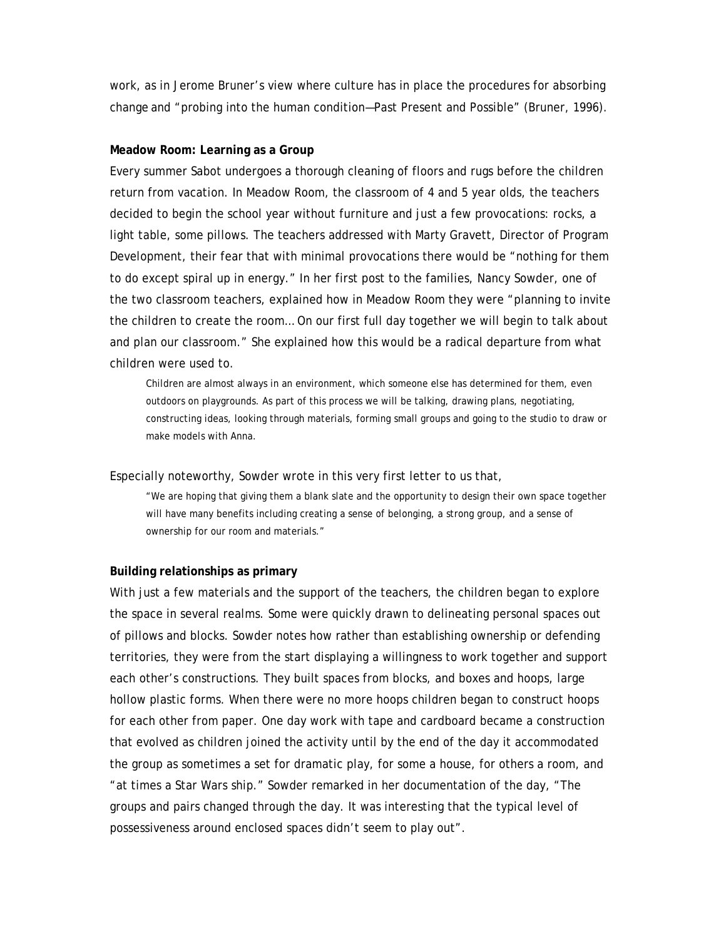work, as in Jerome Bruner's view where culture has in place the procedures for absorbing change and "probing into the human condition—Past Present and Possible" (Bruner, 1996).

### **Meadow Room: Learning as a Group**

Every summer Sabot undergoes a thorough cleaning of floors and rugs before the children return from vacation. In Meadow Room, the classroom of 4 and 5 year olds, the teachers decided to begin the school year without furniture and just a few provocations: rocks, a light table, some pillows. The teachers addressed with Marty Gravett, Director of Program Development, their fear that with minimal provocations there would be "nothing for them to do except spiral up in energy." In her first post to the families, Nancy Sowder, one of the two classroom teachers, explained how in Meadow Room they were "planning to invite the children to create the room… On our first full day together we will begin to talk about and plan our classroom." She explained how this would be a radical departure from what children were used to.

Children are almost always in an environment, which someone else has determined for them, even outdoors on playgrounds. As part of this process we will be talking, drawing plans, negotiating, constructing ideas, looking through materials, forming small groups and going to the studio to draw or make models with Anna.

#### Especially noteworthy, Sowder wrote in this very first letter to us that,

"We are hoping that giving them a blank slate and the opportunity to design their own space together will have many benefits including creating a sense of belonging, a strong group, and a sense of ownership for our room and materials."

#### **Building relationships as primary**

With just a few materials and the support of the teachers, the children began to explore the space in several realms. Some were quickly drawn to delineating personal spaces out of pillows and blocks. Sowder notes how rather than establishing ownership or defending territories, they were from the start displaying a willingness to work together and support each other's constructions. They built spaces from blocks, and boxes and hoops, large hollow plastic forms. When there were no more hoops children began to construct hoops for each other from paper. One day work with tape and cardboard became a construction that evolved as children joined the activity until by the end of the day it accommodated the group as sometimes a set for dramatic play, for some a house, for others a room, and "at times a Star Wars ship." Sowder remarked in her documentation of the day, "The groups and pairs changed through the day. It was interesting that the typical level of possessiveness around enclosed spaces didn't seem to play out".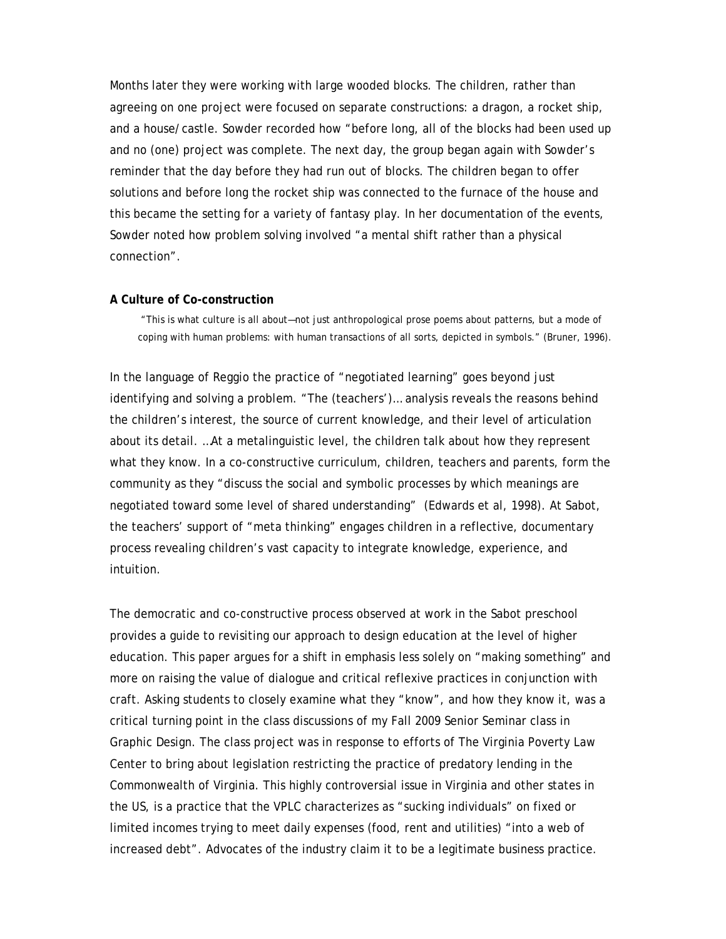Months later they were working with large wooded blocks. The children, rather than agreeing on one project were focused on separate constructions: a dragon, a rocket ship, and a house/castle. Sowder recorded how "before long, all of the blocks had been used up and no (one) project was complete. The next day, the group began again with Sowder's reminder that the day before they had run out of blocks. The children began to offer solutions and before long the rocket ship was connected to the furnace of the house and this became the setting for a variety of fantasy play. In her documentation of the events, Sowder noted how problem solving involved "a mental shift rather than a physical connection".

#### **A Culture of Co-construction**

 "This is what culture is all about—not just anthropological prose poems about patterns, but a mode of coping with human problems: with human transactions of all sorts, depicted in symbols." (Bruner, 1996).

In the language of Reggio the practice of "negotiated learning" goes beyond just identifying and solving a problem. "The (teachers')… analysis reveals the reasons behind the children's interest, the source of current knowledge, and their level of articulation about its detail. …At a metalinguistic level, the children talk about how they represent what they know. In a co-constructive curriculum, children, teachers and parents, form the community as they "discuss the social and symbolic processes by which meanings are negotiated toward some level of shared understanding" (Edwards et al, 1998). At Sabot, the teachers' support of "meta thinking" engages children in a reflective, documentary process revealing children's vast capacity to integrate knowledge, experience, and intuition.

The democratic and co-constructive process observed at work in the Sabot preschool provides a guide to revisiting our approach to design education at the level of higher education. This paper argues for a shift in emphasis less solely on "making something" and more on raising the value of dialogue and critical reflexive practices in conjunction with craft. Asking students to closely examine what they "know", and how they know it, was a critical turning point in the class discussions of my Fall 2009 Senior Seminar class in Graphic Design. The class project was in response to efforts of The Virginia Poverty Law Center to bring about legislation restricting the practice of predatory lending in the Commonwealth of Virginia. This highly controversial issue in Virginia and other states in the US, is a practice that the VPLC characterizes as "sucking individuals" on fixed or limited incomes trying to meet daily expenses (food, rent and utilities) "into a web of increased debt". Advocates of the industry claim it to be a legitimate business practice.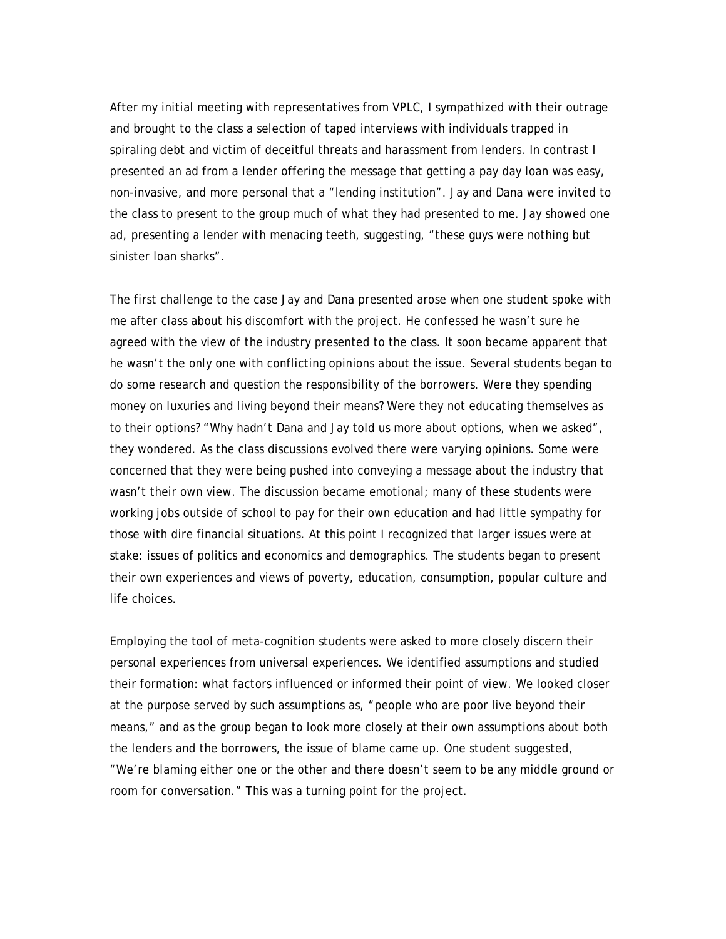After my initial meeting with representatives from VPLC, I sympathized with their outrage and brought to the class a selection of taped interviews with individuals trapped in spiraling debt and victim of deceitful threats and harassment from lenders. In contrast I presented an ad from a lender offering the message that getting a pay day loan was easy, non-invasive, and more personal that a "lending institution". Jay and Dana were invited to the class to present to the group much of what they had presented to me. Jay showed one ad, presenting a lender with menacing teeth, suggesting, "these guys were nothing but sinister loan sharks".

The first challenge to the case Jay and Dana presented arose when one student spoke with me after class about his discomfort with the project. He confessed he wasn't sure he agreed with the view of the industry presented to the class. It soon became apparent that he wasn't the only one with conflicting opinions about the issue. Several students began to do some research and question the responsibility of the borrowers. Were they spending money on luxuries and living beyond their means? Were they not educating themselves as to their options? "Why hadn't Dana and Jay told us more about options, when we asked", they wondered. As the class discussions evolved there were varying opinions. Some were concerned that they were being pushed into conveying a message about the industry that wasn't their own view. The discussion became emotional; many of these students were working jobs outside of school to pay for their own education and had little sympathy for those with dire financial situations. At this point I recognized that larger issues were at stake: issues of politics and economics and demographics. The students began to present their own experiences and views of poverty, education, consumption, popular culture and life choices.

Employing the tool of meta-cognition students were asked to more closely discern their personal experiences from universal experiences. We identified assumptions and studied their formation: what factors influenced or informed their point of view. We looked closer at the purpose served by such assumptions as, "people who are poor live beyond their means," and as the group began to look more closely at their own assumptions about both the lenders and the borrowers, the issue of blame came up. One student suggested, "We're blaming either one or the other and there doesn't seem to be any middle ground or room for conversation." This was a turning point for the project.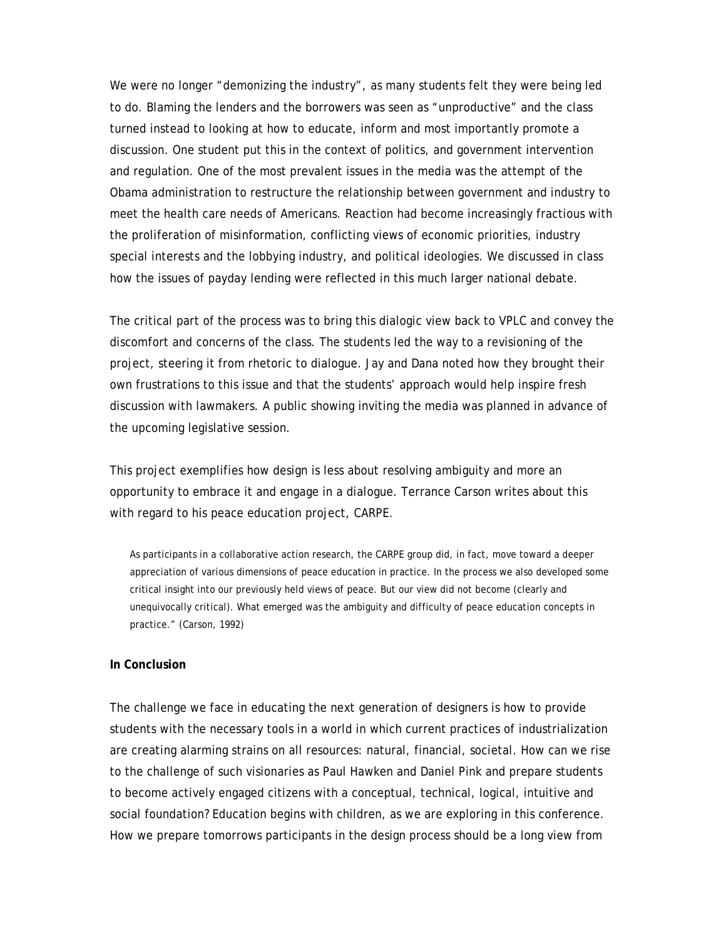We were no longer "demonizing the industry", as many students felt they were being led to do. Blaming the lenders and the borrowers was seen as "unproductive" and the class turned instead to looking at how to educate, inform and most importantly promote a discussion. One student put this in the context of politics, and government intervention and regulation. One of the most prevalent issues in the media was the attempt of the Obama administration to restructure the relationship between government and industry to meet the health care needs of Americans. Reaction had become increasingly fractious with the proliferation of misinformation, conflicting views of economic priorities, industry special interests and the lobbying industry, and political ideologies. We discussed in class how the issues of payday lending were reflected in this much larger national debate.

The critical part of the process was to bring this dialogic view back to VPLC and convey the discomfort and concerns of the class. The students led the way to a revisioning of the project, steering it from rhetoric to dialogue. Jay and Dana noted how they brought their own frustrations to this issue and that the students' approach would help inspire fresh discussion with lawmakers. A public showing inviting the media was planned in advance of the upcoming legislative session.

This project exemplifies how design is less about resolving ambiguity and more an opportunity to embrace it and engage in a dialogue. Terrance Carson writes about this with regard to his peace education project, CARPE.

As participants in a collaborative action research, the CARPE group did, in fact, move toward a deeper appreciation of various dimensions of peace education in practice. In the process we also developed some critical insight into our previously held views of peace. But our view did not become (clearly and unequivocally critical). What emerged was the ambiguity and difficulty of peace education concepts in practice." (Carson, 1992)

## **In Conclusion**

The challenge we face in educating the next generation of designers is how to provide students with the necessary tools in a world in which current practices of industrialization are creating alarming strains on all resources: natural, financial, societal. How can we rise to the challenge of such visionaries as Paul Hawken and Daniel Pink and prepare students to become actively engaged citizens with a conceptual, technical, logical, intuitive and social foundation? Education begins with children, as we are exploring in this conference. How we prepare tomorrows participants in the design process should be a long view from